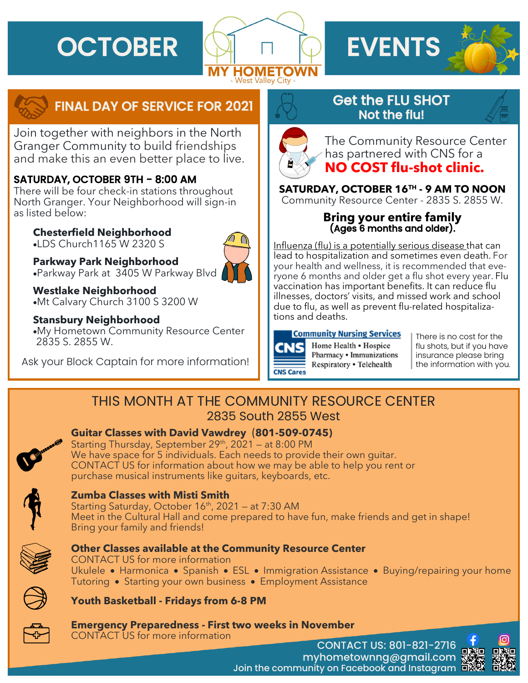



# FINAL DAY OF SERVICE FOR 2021

Join together with neighbors in the North Granger Community to build friendships and make this an even better place to live.

## SATURDAY, OCTOBER 9TH - 8:00 AM

There will be four check-in stations throughout North Granger. Your Neighborhood will sign-in as listed below:

**Chesterfield Neighborhood** •LDS Church1165 W 2320 S

**Parkway Park Neighborhood** •Parkway Park at 3405 W Parkway Blvd



**Westlake Neighborhood** •Mt Calvary Church 3100 S 3200 W

### **Stansbury Neighborhood**

•My Hometown Community Resource Center 2835 S. 2855 W.

Ask your Block Captain for more information!

# Get the FLU SHOT Not the flu!



The Community Resource Center has partnered with CNS for a **NO COST flu-shot clinic.** 

**SATURDAY, OCTOBER 16TH - 9 AM TO NOON** Community Resource Center - 2835 S. 2855 W.

### **Bring your entire family**  (Ages 6 months and older).

Influenza (flu) is a potentially serious disease that can lead to hospitalization and sometimes even death. For your health and wellness, it is recommended that everyone 6 months and older get a flu shot every year. Flu vaccination has important benefits. It can reduce flu illnesses, doctors' visits, and missed work and school due to flu, as well as prevent flu-related hospitalizations and deaths.

# **Community Nursing Services**

Home Health • Hospice Pharmacy • Immunizations Respiratory . Telehealth

There is no cost for the flu shots, but if you have insurance please bring the information with you.

# THIS MONTH AT THE COMMUNITY RESOURCE CENTER 2835 South 2855 West

## **Guitar Classes with David Vawdrey** (**801-509-0745)**

Starting Thursday, September  $29<sup>th</sup>$ ,  $2021 - at 8:00 PM$ We have space for 5 individuals. Each needs to provide their own guitar. CONTACT US for information about how we may be able to help you rent or purchase musical instruments like guitars, keyboards, etc.



## **Zumba Classes with Misti Smith**

Starting Saturday, October  $16<sup>th</sup>$ , 2021 – at 7:30 AM Meet in the Cultural Hall and come prepared to have fun, make friends and get in shape! Bring your family and friends!



### **Other Classes available at the Community Resource Center**



CONTACT US for more information Ukulele • Harmonica • Spanish • ESL • Immigration Assistance • Buying/repairing your home Tutoring • Starting your own business • Employment Assistance



**Youth Basketball - Fridays from 6-8 PM** 



**Emergency Preparedness - First two weeks in November**

CONTACT US for more information

CONTACT US: 801-821-2716 myhometownng@gmail.com Join the community on Facebook and Instagram